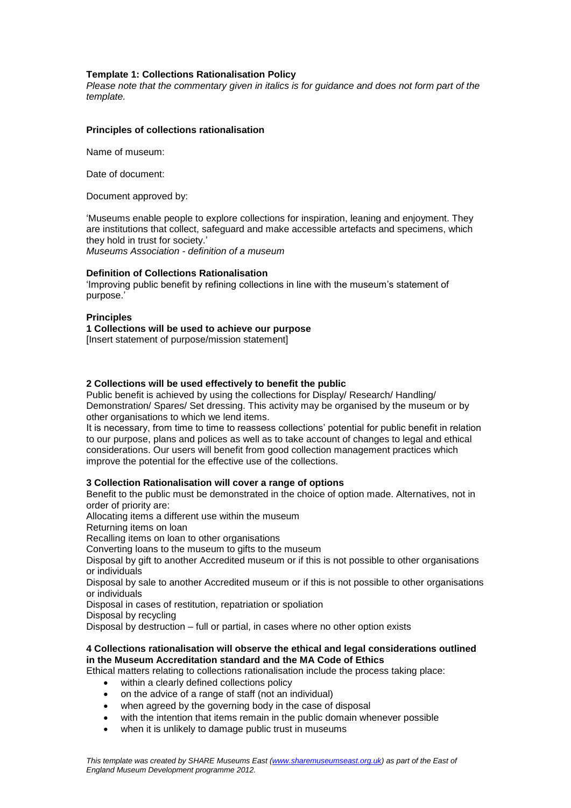# **Template 1: Collections Rationalisation Policy**

*Please note that the commentary given in italics is for guidance and does not form part of the template.*

## **Principles of collections rationalisation**

Name of museum:

Date of document:

Document approved by:

'Museums enable people to explore collections for inspiration, leaning and enjoyment. They are institutions that collect, safeguard and make accessible artefacts and specimens, which they hold in trust for society.' *Museums Association - definition of a museum*

### **Definition of Collections Rationalisation**

'Improving public benefit by refining collections in line with the museum's statement of purpose.'

### **Principles**

**1 Collections will be used to achieve our purpose** [Insert statement of purpose/mission statement]

# **2 Collections will be used effectively to benefit the public**

Public benefit is achieved by using the collections for Display/ Research/ Handling/ Demonstration/ Spares/ Set dressing. This activity may be organised by the museum or by other organisations to which we lend items.

It is necessary, from time to time to reassess collections' potential for public benefit in relation to our purpose, plans and polices as well as to take account of changes to legal and ethical considerations. Our users will benefit from good collection management practices which improve the potential for the effective use of the collections.

### **3 Collection Rationalisation will cover a range of options**

Benefit to the public must be demonstrated in the choice of option made. Alternatives, not in order of priority are:

Allocating items a different use within the museum

Returning items on loan

Recalling items on loan to other organisations

Converting loans to the museum to gifts to the museum

Disposal by gift to another Accredited museum or if this is not possible to other organisations or individuals

Disposal by sale to another Accredited museum or if this is not possible to other organisations or individuals

Disposal in cases of restitution, repatriation or spoliation

Disposal by recycling

Disposal by destruction – full or partial, in cases where no other option exists

## **4 Collections rationalisation will observe the ethical and legal considerations outlined in the Museum Accreditation standard and the MA Code of Ethics**

Ethical matters relating to collections rationalisation include the process taking place:

- within a clearly defined collections policy
- on the advice of a range of staff (not an individual)
- when agreed by the governing body in the case of disposal
- with the intention that items remain in the public domain whenever possible
- when it is unlikely to damage public trust in museums